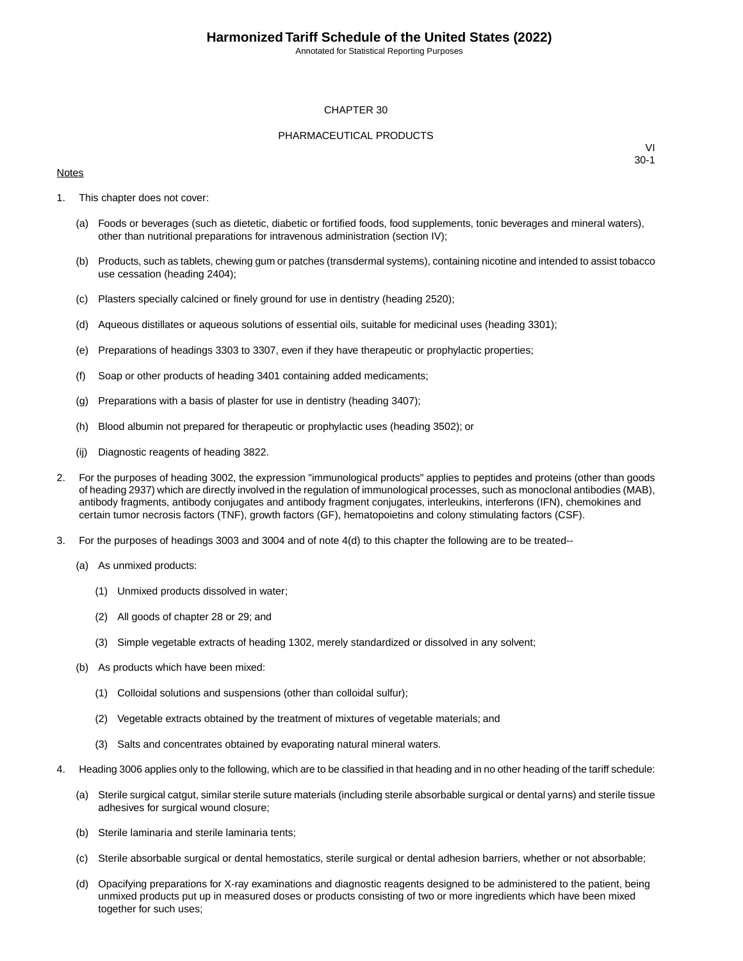Annotated for Statistical Reporting Purposes

#### CHAPTER 30

#### PHARMACEUTICAL PRODUCTS

#### **Notes**

- 1. This chapter does not cover:
	- (a) Foods or beverages (such as dietetic, diabetic or fortified foods, food supplements, tonic beverages and mineral waters), other than nutritional preparations for intravenous administration (section IV);
	- (b) Products, such as tablets, chewing gum or patches (transdermal systems), containing nicotine and intended to assist tobacco use cessation (heading 2404);
	- (c) Plasters specially calcined or finely ground for use in dentistry (heading 2520);
	- (d) Aqueous distillates or aqueous solutions of essential oils, suitable for medicinal uses (heading 3301);
	- (e) Preparations of headings 3303 to 3307, even if they have therapeutic or prophylactic properties;
	- (f) Soap or other products of heading 3401 containing added medicaments;
	- (g) Preparations with a basis of plaster for use in dentistry (heading 3407);
	- (h) Blood albumin not prepared for therapeutic or prophylactic uses (heading 3502); or
	- (ij) Diagnostic reagents of heading 3822.
- 2. For the purposes of heading 3002, the expression "immunological products" applies to peptides and proteins (other than goods of heading 2937) which are directly involved in the regulation of immunological processes, such as monoclonal antibodies (MAB), antibody fragments, antibody conjugates and antibody fragment conjugates, interleukins, interferons (IFN), chemokines and certain tumor necrosis factors (TNF), growth factors (GF), hematopoietins and colony stimulating factors (CSF).
- 3. For the purposes of headings 3003 and 3004 and of note 4(d) to this chapter the following are to be treated--
	- (a) As unmixed products:
		- (1) Unmixed products dissolved in water;
		- (2) All goods of chapter 28 or 29; and
		- (3) Simple vegetable extracts of heading 1302, merely standardized or dissolved in any solvent;
	- (b) As products which have been mixed:
		- (1) Colloidal solutions and suspensions (other than colloidal sulfur);
		- (2) Vegetable extracts obtained by the treatment of mixtures of vegetable materials; and
		- (3) Salts and concentrates obtained by evaporating natural mineral waters.
- 4. Heading 3006 applies only to the following, which are to be classified in that heading and in no other heading of the tariff schedule:
	- (a) Sterile surgical catgut, similar sterile suture materials (including sterile absorbable surgical or dental yarns) and sterile tissue adhesives for surgical wound closure;
	- (b) Sterile laminaria and sterile laminaria tents;
	- (c) Sterile absorbable surgical or dental hemostatics, sterile surgical or dental adhesion barriers, whether or not absorbable;
	- (d) Opacifying preparations for X-ray examinations and diagnostic reagents designed to be administered to the patient, being unmixed products put up in measured doses or products consisting of two or more ingredients which have been mixed together for such uses;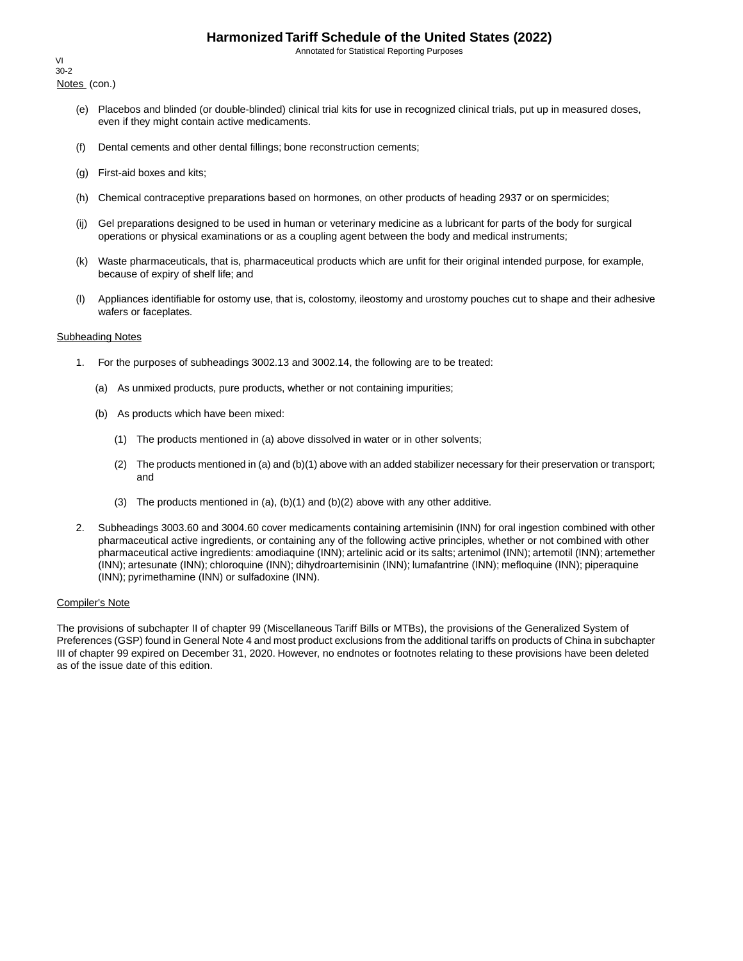Annotated for Statistical Reporting Purposes

Notes (con.) VI 30-2

- (e) Placebos and blinded (or double-blinded) clinical trial kits for use in recognized clinical trials, put up in measured doses, even if they might contain active medicaments.
- (f) Dental cements and other dental fillings; bone reconstruction cements;
- (g) First-aid boxes and kits;
- (h) Chemical contraceptive preparations based on hormones, on other products of heading 2937 or on spermicides;
- (ij) Gel preparations designed to be used in human or veterinary medicine as a lubricant for parts of the body for surgical operations or physical examinations or as a coupling agent between the body and medical instruments;
- (k) Waste pharmaceuticals, that is, pharmaceutical products which are unfit for their original intended purpose, for example, because of expiry of shelf life; and
- (l) Appliances identifiable for ostomy use, that is, colostomy, ileostomy and urostomy pouches cut to shape and their adhesive wafers or faceplates.

#### Subheading Notes

- 1. For the purposes of subheadings 3002.13 and 3002.14, the following are to be treated:
	- (a) As unmixed products, pure products, whether or not containing impurities;
	- (b) As products which have been mixed:
		- (1) The products mentioned in (a) above dissolved in water or in other solvents;
		- (2) The products mentioned in (a) and (b)(1) above with an added stabilizer necessary for their preservation or transport; and
		- (3) The products mentioned in  $(a)$ ,  $(b)(1)$  and  $(b)(2)$  above with any other additive.
- 2. Subheadings 3003.60 and 3004.60 cover medicaments containing artemisinin (INN) for oral ingestion combined with other pharmaceutical active ingredients, or containing any of the following active principles, whether or not combined with other pharmaceutical active ingredients: amodiaquine (INN); artelinic acid or its salts; artenimol (INN); artemotil (INN); artemether (INN); artesunate (INN); chloroquine (INN); dihydroartemisinin (INN); lumafantrine (INN); mefloquine (INN); piperaquine (INN); pyrimethamine (INN) or sulfadoxine (INN).

#### Compiler's Note

The provisions of subchapter II of chapter 99 (Miscellaneous Tariff Bills or MTBs), the provisions of the Generalized System of Preferences (GSP) found in General Note 4 and most product exclusions from the additional tariffs on products of China in subchapter III of chapter 99 expired on December 31, 2020. However, no endnotes or footnotes relating to these provisions have been deleted as of the issue date of this edition.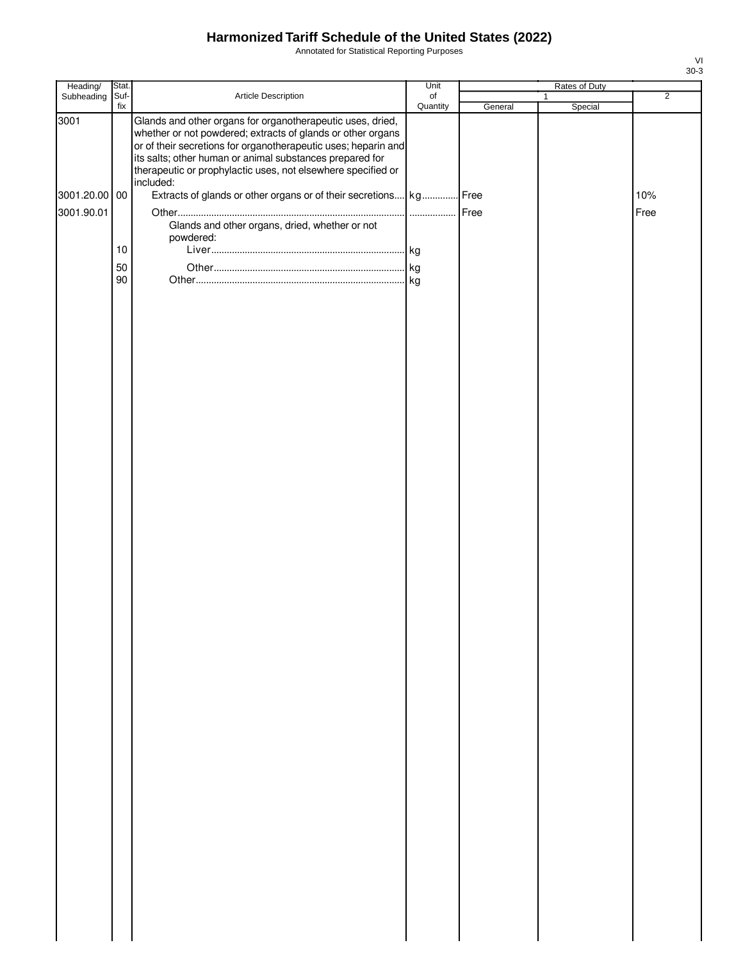Annotated for Statistical Reporting Purposes

| Heading/      | Stat.       |                                                                                                                                                                                                                                                                                                                                      | Unit                         |         | Rates of Duty           |                |
|---------------|-------------|--------------------------------------------------------------------------------------------------------------------------------------------------------------------------------------------------------------------------------------------------------------------------------------------------------------------------------------|------------------------------|---------|-------------------------|----------------|
| Subheading    | Suf-<br>fix | Article Description                                                                                                                                                                                                                                                                                                                  | $_{\mathsf{of}}$<br>Quantity | General | $\mathbf{1}$<br>Special | $\overline{2}$ |
| 3001          |             | Glands and other organs for organotherapeutic uses, dried,<br>whether or not powdered; extracts of glands or other organs<br>or of their secretions for organotherapeutic uses; heparin and<br>its salts; other human or animal substances prepared for<br>therapeutic or prophylactic uses, not elsewhere specified or<br>included: |                              |         |                         |                |
| 3001.20.00 00 |             | Extracts of glands or other organs or of their secretions kg Free                                                                                                                                                                                                                                                                    |                              |         |                         | 10%            |
| 3001.90.01    |             | Glands and other organs, dried, whether or not<br>powdered:                                                                                                                                                                                                                                                                          |                              |         |                         | Free           |
|               | $10$        |                                                                                                                                                                                                                                                                                                                                      |                              |         |                         |                |
|               | 50          |                                                                                                                                                                                                                                                                                                                                      |                              |         |                         |                |
|               | 90          |                                                                                                                                                                                                                                                                                                                                      |                              |         |                         |                |
|               |             |                                                                                                                                                                                                                                                                                                                                      |                              |         |                         |                |
|               |             |                                                                                                                                                                                                                                                                                                                                      |                              |         |                         |                |
|               |             |                                                                                                                                                                                                                                                                                                                                      |                              |         |                         |                |
|               |             |                                                                                                                                                                                                                                                                                                                                      |                              |         |                         |                |
|               |             |                                                                                                                                                                                                                                                                                                                                      |                              |         |                         |                |
|               |             |                                                                                                                                                                                                                                                                                                                                      |                              |         |                         |                |
|               |             |                                                                                                                                                                                                                                                                                                                                      |                              |         |                         |                |
|               |             |                                                                                                                                                                                                                                                                                                                                      |                              |         |                         |                |
|               |             |                                                                                                                                                                                                                                                                                                                                      |                              |         |                         |                |
|               |             |                                                                                                                                                                                                                                                                                                                                      |                              |         |                         |                |
|               |             |                                                                                                                                                                                                                                                                                                                                      |                              |         |                         |                |
|               |             |                                                                                                                                                                                                                                                                                                                                      |                              |         |                         |                |
|               |             |                                                                                                                                                                                                                                                                                                                                      |                              |         |                         |                |
|               |             |                                                                                                                                                                                                                                                                                                                                      |                              |         |                         |                |
|               |             |                                                                                                                                                                                                                                                                                                                                      |                              |         |                         |                |
|               |             |                                                                                                                                                                                                                                                                                                                                      |                              |         |                         |                |
|               |             |                                                                                                                                                                                                                                                                                                                                      |                              |         |                         |                |
|               |             |                                                                                                                                                                                                                                                                                                                                      |                              |         |                         |                |
|               |             |                                                                                                                                                                                                                                                                                                                                      |                              |         |                         |                |
|               |             |                                                                                                                                                                                                                                                                                                                                      |                              |         |                         |                |
|               |             |                                                                                                                                                                                                                                                                                                                                      |                              |         |                         |                |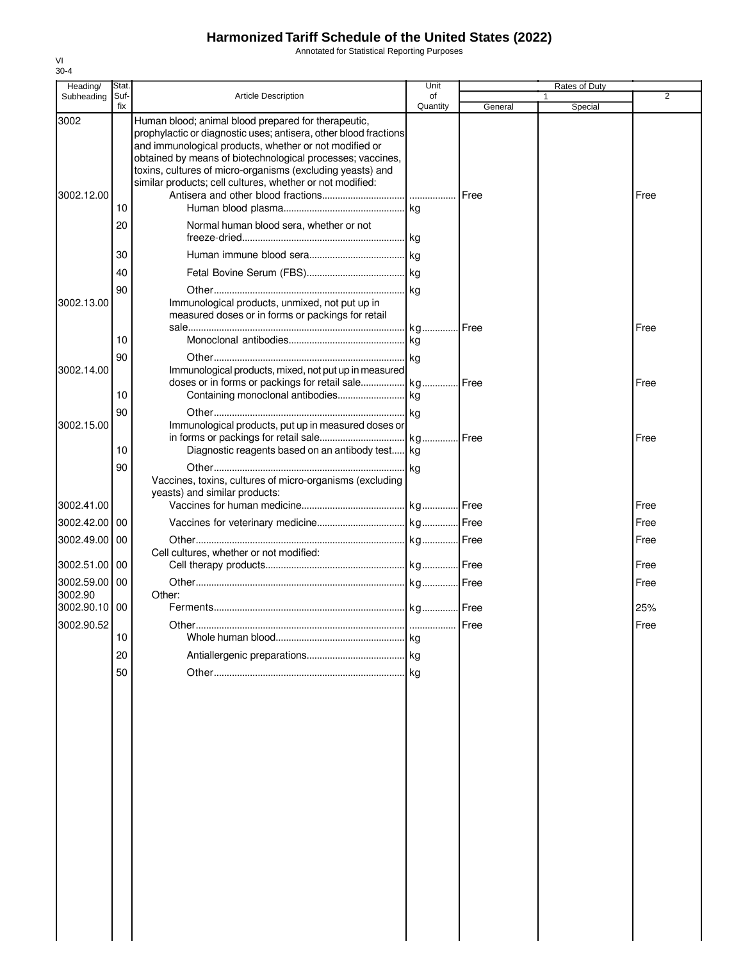Annotated for Statistical Reporting Purposes

| Heading/                    | Stat           |                                                                                                                                                                                                                                                                                                                                                                                                                       | Unit           |               | Rates of Duty |                |
|-----------------------------|----------------|-----------------------------------------------------------------------------------------------------------------------------------------------------------------------------------------------------------------------------------------------------------------------------------------------------------------------------------------------------------------------------------------------------------------------|----------------|---------------|---------------|----------------|
| Subheading                  | Suf-<br>fix    | <b>Article Description</b>                                                                                                                                                                                                                                                                                                                                                                                            | οf<br>Quantity | General       | 1<br>Special  | $\overline{2}$ |
| 3002<br>3002.12.00          | 10<br>20       | Human blood; animal blood prepared for therapeutic,<br>prophylactic or diagnostic uses; antisera, other blood fractions<br>and immunological products, whether or not modified or<br>obtained by means of biotechnological processes; vaccines,<br>toxins, cultures of micro-organisms (excluding yeasts) and<br>similar products; cell cultures, whether or not modified:<br>Normal human blood sera, whether or not |                | <b>Free</b>   |               | Free           |
| 3002.13.00                  | 30<br>40<br>90 | Immunological products, unmixed, not put up in<br>measured doses or in forms or packings for retail                                                                                                                                                                                                                                                                                                                   |                | <b>I</b> Free |               | Free           |
| 3002.14.00                  | 10<br>90       |                                                                                                                                                                                                                                                                                                                                                                                                                       |                |               |               |                |
|                             | 10             | Immunological products, mixed, not put up in measured                                                                                                                                                                                                                                                                                                                                                                 |                |               |               | Free           |
| 3002.15.00                  | 90<br>10       | Immunological products, put up in measured doses or<br>Diagnostic reagents based on an antibody test kg                                                                                                                                                                                                                                                                                                               |                |               |               | Free           |
| 3002.41.00                  | 90             | Vaccines, toxins, cultures of micro-organisms (excluding<br>yeasts) and similar products:                                                                                                                                                                                                                                                                                                                             |                |               |               | Free           |
| 3002.42.00                  | 00             |                                                                                                                                                                                                                                                                                                                                                                                                                       |                |               |               | Free           |
| 3002.49.00                  | 00             | Cell cultures, whether or not modified:                                                                                                                                                                                                                                                                                                                                                                               |                |               |               | Free           |
| 3002.51.00 00<br>3002.59.00 | 00             |                                                                                                                                                                                                                                                                                                                                                                                                                       |                |               |               | Free<br>Free   |
| 3002.90<br>3002.90.10 00    |                | Other:                                                                                                                                                                                                                                                                                                                                                                                                                |                |               |               | 25%            |
| 3002.90.52                  | 10             |                                                                                                                                                                                                                                                                                                                                                                                                                       |                | <b>IFree</b>  |               | Free           |
|                             | 20             |                                                                                                                                                                                                                                                                                                                                                                                                                       |                |               |               |                |
|                             | 50             |                                                                                                                                                                                                                                                                                                                                                                                                                       |                |               |               |                |
|                             |                |                                                                                                                                                                                                                                                                                                                                                                                                                       |                |               |               |                |
|                             |                |                                                                                                                                                                                                                                                                                                                                                                                                                       |                |               |               |                |
|                             |                |                                                                                                                                                                                                                                                                                                                                                                                                                       |                |               |               |                |
|                             |                |                                                                                                                                                                                                                                                                                                                                                                                                                       |                |               |               |                |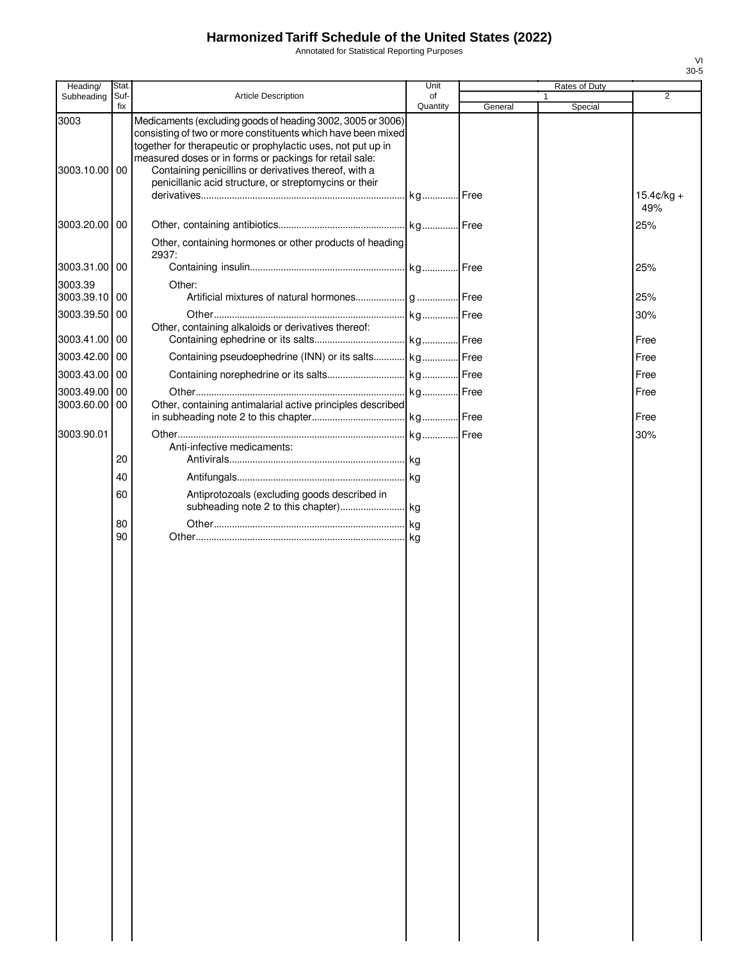Annotated for Statistical Reporting Purposes

| Heading/                 | Stat.       |                                                                                                                                                                                                                                                                                                                                                                           | Unit           |         | Rates of Duty |                             |
|--------------------------|-------------|---------------------------------------------------------------------------------------------------------------------------------------------------------------------------------------------------------------------------------------------------------------------------------------------------------------------------------------------------------------------------|----------------|---------|---------------|-----------------------------|
| Subheading               | Suf-<br>fix | <b>Article Description</b>                                                                                                                                                                                                                                                                                                                                                | of<br>Quantity | General | Special       | $\overline{2}$              |
| 3003<br>3003.10.00 00    |             | Medicaments (excluding goods of heading 3002, 3005 or 3006)<br>consisting of two or more constituents which have been mixed<br>together for therapeutic or prophylactic uses, not put up in<br>measured doses or in forms or packings for retail sale:<br>Containing penicillins or derivatives thereof, with a<br>penicillanic acid structure, or streptomycins or their |                |         |               | $15.4 \text{C/kg} +$<br>49% |
| 3003.20.00 00            |             | Other, containing hormones or other products of heading                                                                                                                                                                                                                                                                                                                   |                |         |               | 25%                         |
| 3003.31.00 00            |             | 2937:                                                                                                                                                                                                                                                                                                                                                                     |                |         |               | 25%                         |
| 3003.39<br>3003.39.10 00 |             | Other:                                                                                                                                                                                                                                                                                                                                                                    |                |         |               | 25%                         |
| 3003.39.50 00            |             | Other, containing alkaloids or derivatives thereof:                                                                                                                                                                                                                                                                                                                       |                |         |               | 30%                         |
| 3003.41.00 00            |             |                                                                                                                                                                                                                                                                                                                                                                           |                |         |               | Free                        |
| 3003.42.00 00            |             | Containing pseudoephedrine (INN) or its salts kg Free                                                                                                                                                                                                                                                                                                                     |                |         |               | Free                        |
| 3003.43.00 00            |             |                                                                                                                                                                                                                                                                                                                                                                           |                |         |               | Free                        |
| 3003.49.00               | 00          |                                                                                                                                                                                                                                                                                                                                                                           |                |         |               | Free                        |
| 3003.60.00 00            |             | Other, containing antimalarial active principles described                                                                                                                                                                                                                                                                                                                |                |         |               | Free                        |
| 3003.90.01               |             |                                                                                                                                                                                                                                                                                                                                                                           |                |         |               | 30%                         |
|                          |             | Anti-infective medicaments:                                                                                                                                                                                                                                                                                                                                               |                |         |               |                             |
|                          | 20          |                                                                                                                                                                                                                                                                                                                                                                           |                |         |               |                             |
|                          | 40          |                                                                                                                                                                                                                                                                                                                                                                           |                |         |               |                             |
|                          | 60          | Antiprotozoals (excluding goods described in                                                                                                                                                                                                                                                                                                                              |                |         |               |                             |
|                          | 80<br>90    |                                                                                                                                                                                                                                                                                                                                                                           |                |         |               |                             |
|                          |             |                                                                                                                                                                                                                                                                                                                                                                           |                |         |               |                             |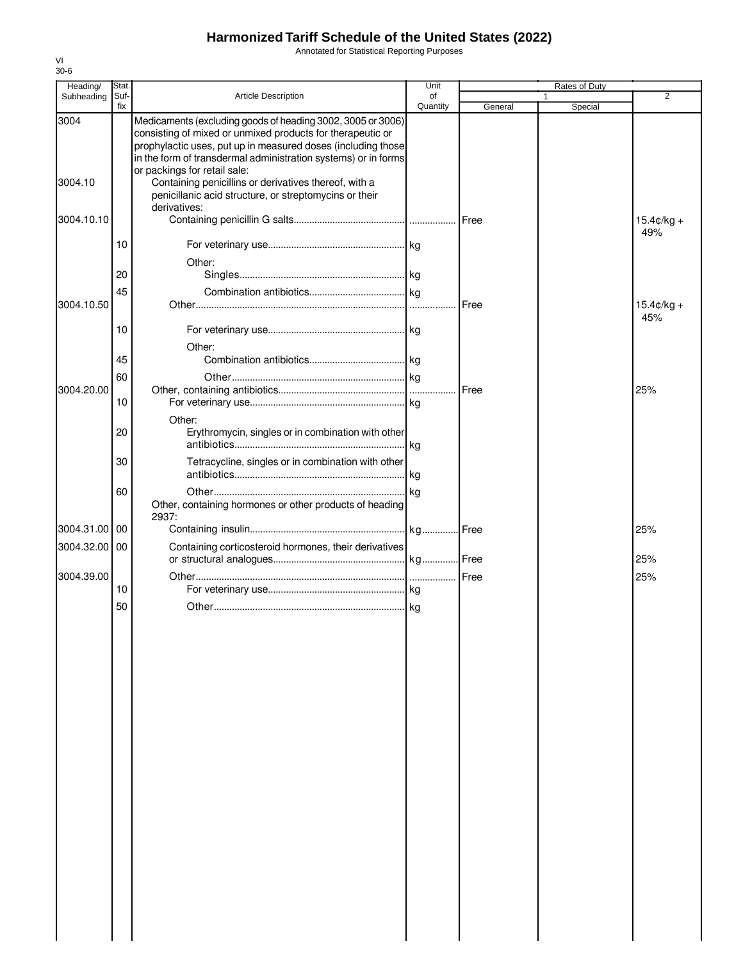Annotated for Statistical Reporting Purposes

| Heading/        | Stat.       |                                                                                                                                                                                                                                                                                                                                                                                                                | Unit           |               | Rates of Duty |                      |
|-----------------|-------------|----------------------------------------------------------------------------------------------------------------------------------------------------------------------------------------------------------------------------------------------------------------------------------------------------------------------------------------------------------------------------------------------------------------|----------------|---------------|---------------|----------------------|
| Subheading      | Suf-<br>fix | <b>Article Description</b>                                                                                                                                                                                                                                                                                                                                                                                     | of<br>Quantity | General       | 1<br>Special  | $\overline{2}$       |
| 3004<br>3004.10 |             | Medicaments (excluding goods of heading 3002, 3005 or 3006)<br>consisting of mixed or unmixed products for therapeutic or<br>prophylactic uses, put up in measured doses (including those<br>in the form of transdermal administration systems) or in forms<br>or packings for retail sale:<br>Containing penicillins or derivatives thereof, with a<br>penicillanic acid structure, or streptomycins or their |                |               |               |                      |
| 3004.10.10      |             | derivatives:                                                                                                                                                                                                                                                                                                                                                                                                   |                |               |               | $15.4¢/kg +$         |
|                 | 10          |                                                                                                                                                                                                                                                                                                                                                                                                                |                |               |               | 49%                  |
|                 | 20          | Other:                                                                                                                                                                                                                                                                                                                                                                                                         |                |               |               |                      |
| 3004.10.50      | 45          |                                                                                                                                                                                                                                                                                                                                                                                                                |                | Free          |               | $15.4 \text{C/kg} +$ |
|                 | 10          |                                                                                                                                                                                                                                                                                                                                                                                                                |                |               |               | 45%                  |
|                 | 45          | Other:                                                                                                                                                                                                                                                                                                                                                                                                         |                |               |               |                      |
|                 | 60          |                                                                                                                                                                                                                                                                                                                                                                                                                |                |               |               |                      |
| 3004.20.00      | 10          |                                                                                                                                                                                                                                                                                                                                                                                                                |                | <b>I</b> Free |               | 25%                  |
|                 | 20          | Other:<br>Erythromycin, singles or in combination with other                                                                                                                                                                                                                                                                                                                                                   |                |               |               |                      |
|                 | 30          | Tetracycline, singles or in combination with other                                                                                                                                                                                                                                                                                                                                                             | l kg           |               |               |                      |
|                 | 60          | Other, containing hormones or other products of heading<br>2937:                                                                                                                                                                                                                                                                                                                                               |                |               |               |                      |
| 3004.31.00 00   |             |                                                                                                                                                                                                                                                                                                                                                                                                                |                |               |               | 25%                  |
| 3004.32.00 00   |             | Containing corticosteroid hormones, their derivatives                                                                                                                                                                                                                                                                                                                                                          |                |               |               | 25%                  |
| 3004.39.00      |             |                                                                                                                                                                                                                                                                                                                                                                                                                |                |               |               | 25%                  |
|                 | 10<br>50    |                                                                                                                                                                                                                                                                                                                                                                                                                |                |               |               |                      |
|                 |             |                                                                                                                                                                                                                                                                                                                                                                                                                |                |               |               |                      |
|                 |             |                                                                                                                                                                                                                                                                                                                                                                                                                |                |               |               |                      |
|                 |             |                                                                                                                                                                                                                                                                                                                                                                                                                |                |               |               |                      |
|                 |             |                                                                                                                                                                                                                                                                                                                                                                                                                |                |               |               |                      |
|                 |             |                                                                                                                                                                                                                                                                                                                                                                                                                |                |               |               |                      |
|                 |             |                                                                                                                                                                                                                                                                                                                                                                                                                |                |               |               |                      |
|                 |             |                                                                                                                                                                                                                                                                                                                                                                                                                |                |               |               |                      |
|                 |             |                                                                                                                                                                                                                                                                                                                                                                                                                |                |               |               |                      |
|                 |             |                                                                                                                                                                                                                                                                                                                                                                                                                |                |               |               |                      |
|                 |             |                                                                                                                                                                                                                                                                                                                                                                                                                |                |               |               |                      |
|                 |             |                                                                                                                                                                                                                                                                                                                                                                                                                |                |               |               |                      |
|                 |             |                                                                                                                                                                                                                                                                                                                                                                                                                |                |               |               |                      |
|                 |             |                                                                                                                                                                                                                                                                                                                                                                                                                |                |               |               |                      |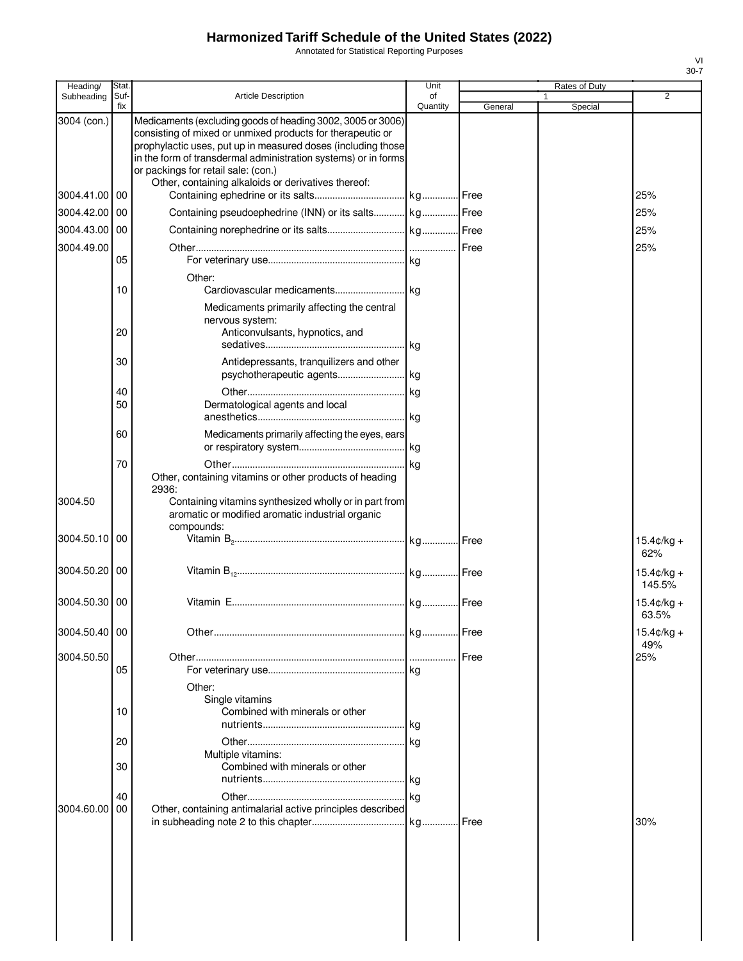Annotated for Statistical Reporting Purposes

| Heading/      | Stat        |                                                                                                                                                                                                                                                                                                                                                           | Unit           |         | Rates of Duty |                                |
|---------------|-------------|-----------------------------------------------------------------------------------------------------------------------------------------------------------------------------------------------------------------------------------------------------------------------------------------------------------------------------------------------------------|----------------|---------|---------------|--------------------------------|
| Subheading    | Suf-<br>fix | <b>Article Description</b>                                                                                                                                                                                                                                                                                                                                | of<br>Quantity | General | 1<br>Special  | $\overline{2}$                 |
| 3004 (con.)   |             | Medicaments (excluding goods of heading 3002, 3005 or 3006)<br>consisting of mixed or unmixed products for therapeutic or<br>prophylactic uses, put up in measured doses (including those<br>in the form of transdermal administration systems) or in forms<br>or packings for retail sale: (con.)<br>Other, containing alkaloids or derivatives thereof: |                |         |               |                                |
| 3004.41.00    | 00          |                                                                                                                                                                                                                                                                                                                                                           |                |         |               | 25%                            |
| 3004.42.00    | 00          | Containing pseudoephedrine (INN) or its salts kg Free                                                                                                                                                                                                                                                                                                     |                |         |               | 25%                            |
| 3004.43.00    | 00          |                                                                                                                                                                                                                                                                                                                                                           |                |         |               | 25%                            |
| 3004.49.00    | 05          |                                                                                                                                                                                                                                                                                                                                                           |                |         |               | 25%                            |
|               | 10          | Other:                                                                                                                                                                                                                                                                                                                                                    |                |         |               |                                |
|               | 20          | Medicaments primarily affecting the central<br>nervous system:<br>Anticonvulsants, hypnotics, and                                                                                                                                                                                                                                                         |                |         |               |                                |
|               | 30          | Antidepressants, tranguilizers and other                                                                                                                                                                                                                                                                                                                  |                |         |               |                                |
|               |             |                                                                                                                                                                                                                                                                                                                                                           |                |         |               |                                |
|               | 40<br>50    | Dermatological agents and local                                                                                                                                                                                                                                                                                                                           |                |         |               |                                |
|               |             |                                                                                                                                                                                                                                                                                                                                                           |                |         |               |                                |
|               | 60          | Medicaments primarily affecting the eyes, ears                                                                                                                                                                                                                                                                                                            |                |         |               |                                |
|               | 70          |                                                                                                                                                                                                                                                                                                                                                           | . kg           |         |               |                                |
|               |             | Other, containing vitamins or other products of heading<br>2936:                                                                                                                                                                                                                                                                                          |                |         |               |                                |
| 3004.50       |             | Containing vitamins synthesized wholly or in part from<br>aromatic or modified aromatic industrial organic<br>compounds:                                                                                                                                                                                                                                  |                |         |               |                                |
| 3004.50.10    | 00          |                                                                                                                                                                                                                                                                                                                                                           |                |         |               | $15.4 \text{c/kg} +$<br>62%    |
| 3004.50.20    | 00          |                                                                                                                                                                                                                                                                                                                                                           |                |         |               | $15.4 \text{c/kg} +$<br>145.5% |
| 3004.50.30    | 00          |                                                                                                                                                                                                                                                                                                                                                           |                |         |               | $15.4¢/kg +$<br>63.5%          |
| 3004.50.40 00 |             |                                                                                                                                                                                                                                                                                                                                                           |                | Free    |               | $15.4 \text{C/kg} +$<br>49%    |
| 3004.50.50    |             |                                                                                                                                                                                                                                                                                                                                                           |                | Free    |               | 25%                            |
|               | 05          |                                                                                                                                                                                                                                                                                                                                                           |                |         |               |                                |
|               | 10          | Other:<br>Single vitamins<br>Combined with minerals or other                                                                                                                                                                                                                                                                                              |                |         |               |                                |
|               | 20          |                                                                                                                                                                                                                                                                                                                                                           | <b>kg</b>      |         |               |                                |
|               | 30          | Multiple vitamins:<br>Combined with minerals or other                                                                                                                                                                                                                                                                                                     |                |         |               |                                |
|               | 40          |                                                                                                                                                                                                                                                                                                                                                           |                |         |               |                                |
| 3004.60.00    | 00          | Other, containing antimalarial active principles described                                                                                                                                                                                                                                                                                                |                |         |               |                                |
|               |             |                                                                                                                                                                                                                                                                                                                                                           | . kg           | Free    |               | 30%                            |
|               |             |                                                                                                                                                                                                                                                                                                                                                           |                |         |               |                                |
|               |             |                                                                                                                                                                                                                                                                                                                                                           |                |         |               |                                |
|               |             |                                                                                                                                                                                                                                                                                                                                                           |                |         |               |                                |
|               |             |                                                                                                                                                                                                                                                                                                                                                           |                |         |               |                                |
|               |             |                                                                                                                                                                                                                                                                                                                                                           |                |         |               |                                |
|               |             |                                                                                                                                                                                                                                                                                                                                                           |                |         |               |                                |
|               |             |                                                                                                                                                                                                                                                                                                                                                           |                |         |               |                                |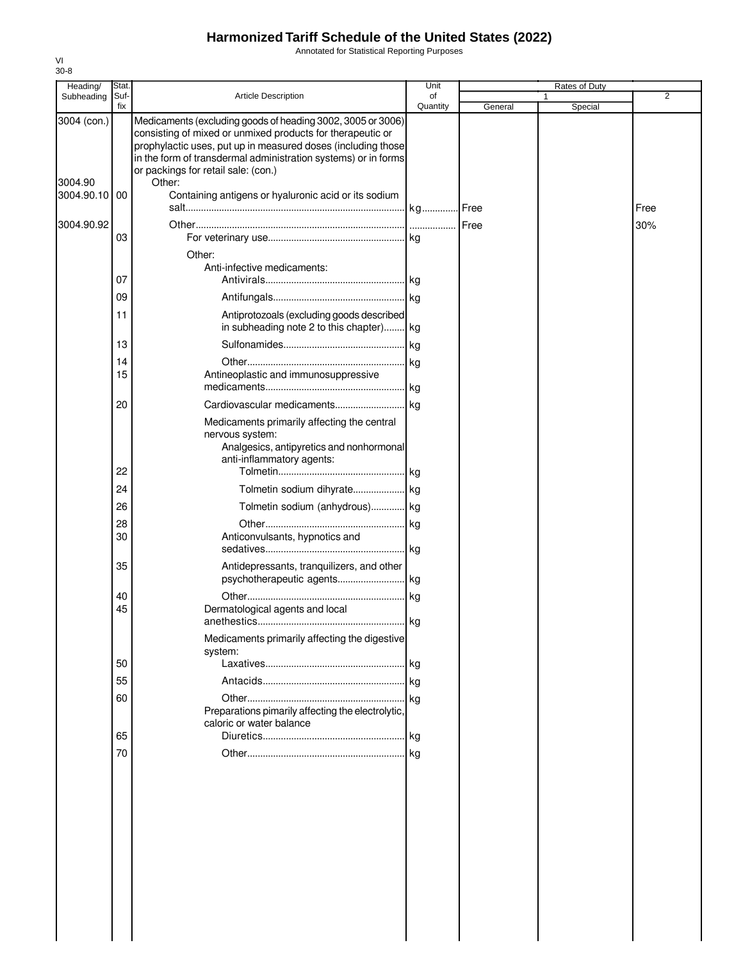Annotated for Statistical Reporting Purposes

| Quantity<br>fix<br>General<br>Special<br>3004 (con.)<br>Medicaments (excluding goods of heading 3002, 3005 or 3006)<br>consisting of mixed or unmixed products for therapeutic or<br>prophylactic uses, put up in measured doses (including those<br>in the form of transdermal administration systems) or in forms<br>or packings for retail sale: (con.)<br>Other:<br>3004.90<br>3004.90.10 00<br>Containing antigens or hyaluronic acid or its sodium<br>Free<br>3004.90.92<br>Free<br>30%<br><br>03<br>Other:<br>Anti-infective medicaments:<br>07<br>kg<br>09<br>kg<br>Antiprotozoals (excluding goods described<br>11<br>in subheading note 2 to this chapter)<br>kg<br>13<br>kg<br>kg<br>14<br>15<br>Antineoplastic and immunosuppressive<br>kg<br>20<br>kg.<br>Medicaments primarily affecting the central<br>nervous system:<br>Analgesics, antipyretics and nonhormonal<br>anti-inflammatory agents:<br>22<br>24<br>26<br>Tolmetin sodium (anhydrous) kg<br>28<br>kg<br>30<br>Anticonvulsants, hypnotics and<br>kg<br>35<br>Antidepressants, tranquilizers, and other<br>psychotherapeutic agents kg<br>40<br>kg<br>45<br>Dermatological agents and local<br>kg<br>Medicaments primarily affecting the digestive<br>system:<br>50<br>55<br>60<br>kg<br>Preparations pimarily affecting the electrolytic,<br>caloric or water balance<br>65<br>.lkg | Heading/   | Stat. |                            | Unit | Rates of Duty |   |
|--------------------------------------------------------------------------------------------------------------------------------------------------------------------------------------------------------------------------------------------------------------------------------------------------------------------------------------------------------------------------------------------------------------------------------------------------------------------------------------------------------------------------------------------------------------------------------------------------------------------------------------------------------------------------------------------------------------------------------------------------------------------------------------------------------------------------------------------------------------------------------------------------------------------------------------------------------------------------------------------------------------------------------------------------------------------------------------------------------------------------------------------------------------------------------------------------------------------------------------------------------------------------------------------------------------------------------------------------------------|------------|-------|----------------------------|------|---------------|---|
|                                                                                                                                                                                                                                                                                                                                                                                                                                                                                                                                                                                                                                                                                                                                                                                                                                                                                                                                                                                                                                                                                                                                                                                                                                                                                                                                                              | Subheading | Suf-  | <b>Article Description</b> | of   | 1             | 2 |
|                                                                                                                                                                                                                                                                                                                                                                                                                                                                                                                                                                                                                                                                                                                                                                                                                                                                                                                                                                                                                                                                                                                                                                                                                                                                                                                                                              |            |       |                            |      |               |   |
|                                                                                                                                                                                                                                                                                                                                                                                                                                                                                                                                                                                                                                                                                                                                                                                                                                                                                                                                                                                                                                                                                                                                                                                                                                                                                                                                                              |            |       |                            |      |               |   |
|                                                                                                                                                                                                                                                                                                                                                                                                                                                                                                                                                                                                                                                                                                                                                                                                                                                                                                                                                                                                                                                                                                                                                                                                                                                                                                                                                              |            |       |                            |      |               |   |
|                                                                                                                                                                                                                                                                                                                                                                                                                                                                                                                                                                                                                                                                                                                                                                                                                                                                                                                                                                                                                                                                                                                                                                                                                                                                                                                                                              |            |       |                            |      |               |   |
|                                                                                                                                                                                                                                                                                                                                                                                                                                                                                                                                                                                                                                                                                                                                                                                                                                                                                                                                                                                                                                                                                                                                                                                                                                                                                                                                                              |            |       |                            |      |               |   |
|                                                                                                                                                                                                                                                                                                                                                                                                                                                                                                                                                                                                                                                                                                                                                                                                                                                                                                                                                                                                                                                                                                                                                                                                                                                                                                                                                              |            |       |                            |      |               |   |
|                                                                                                                                                                                                                                                                                                                                                                                                                                                                                                                                                                                                                                                                                                                                                                                                                                                                                                                                                                                                                                                                                                                                                                                                                                                                                                                                                              |            |       |                            |      |               |   |
|                                                                                                                                                                                                                                                                                                                                                                                                                                                                                                                                                                                                                                                                                                                                                                                                                                                                                                                                                                                                                                                                                                                                                                                                                                                                                                                                                              |            |       |                            |      |               |   |
|                                                                                                                                                                                                                                                                                                                                                                                                                                                                                                                                                                                                                                                                                                                                                                                                                                                                                                                                                                                                                                                                                                                                                                                                                                                                                                                                                              |            |       |                            |      |               |   |
|                                                                                                                                                                                                                                                                                                                                                                                                                                                                                                                                                                                                                                                                                                                                                                                                                                                                                                                                                                                                                                                                                                                                                                                                                                                                                                                                                              |            |       |                            |      |               |   |
|                                                                                                                                                                                                                                                                                                                                                                                                                                                                                                                                                                                                                                                                                                                                                                                                                                                                                                                                                                                                                                                                                                                                                                                                                                                                                                                                                              |            |       |                            |      |               |   |
|                                                                                                                                                                                                                                                                                                                                                                                                                                                                                                                                                                                                                                                                                                                                                                                                                                                                                                                                                                                                                                                                                                                                                                                                                                                                                                                                                              |            |       |                            |      |               |   |
|                                                                                                                                                                                                                                                                                                                                                                                                                                                                                                                                                                                                                                                                                                                                                                                                                                                                                                                                                                                                                                                                                                                                                                                                                                                                                                                                                              |            |       |                            |      |               |   |
|                                                                                                                                                                                                                                                                                                                                                                                                                                                                                                                                                                                                                                                                                                                                                                                                                                                                                                                                                                                                                                                                                                                                                                                                                                                                                                                                                              |            |       |                            |      |               |   |
|                                                                                                                                                                                                                                                                                                                                                                                                                                                                                                                                                                                                                                                                                                                                                                                                                                                                                                                                                                                                                                                                                                                                                                                                                                                                                                                                                              |            |       |                            |      |               |   |
|                                                                                                                                                                                                                                                                                                                                                                                                                                                                                                                                                                                                                                                                                                                                                                                                                                                                                                                                                                                                                                                                                                                                                                                                                                                                                                                                                              |            |       |                            |      |               |   |
|                                                                                                                                                                                                                                                                                                                                                                                                                                                                                                                                                                                                                                                                                                                                                                                                                                                                                                                                                                                                                                                                                                                                                                                                                                                                                                                                                              |            |       |                            |      |               |   |
|                                                                                                                                                                                                                                                                                                                                                                                                                                                                                                                                                                                                                                                                                                                                                                                                                                                                                                                                                                                                                                                                                                                                                                                                                                                                                                                                                              |            |       |                            |      |               |   |
|                                                                                                                                                                                                                                                                                                                                                                                                                                                                                                                                                                                                                                                                                                                                                                                                                                                                                                                                                                                                                                                                                                                                                                                                                                                                                                                                                              |            |       |                            |      |               |   |
|                                                                                                                                                                                                                                                                                                                                                                                                                                                                                                                                                                                                                                                                                                                                                                                                                                                                                                                                                                                                                                                                                                                                                                                                                                                                                                                                                              |            |       |                            |      |               |   |
|                                                                                                                                                                                                                                                                                                                                                                                                                                                                                                                                                                                                                                                                                                                                                                                                                                                                                                                                                                                                                                                                                                                                                                                                                                                                                                                                                              |            |       |                            |      |               |   |
|                                                                                                                                                                                                                                                                                                                                                                                                                                                                                                                                                                                                                                                                                                                                                                                                                                                                                                                                                                                                                                                                                                                                                                                                                                                                                                                                                              |            |       |                            |      |               |   |
|                                                                                                                                                                                                                                                                                                                                                                                                                                                                                                                                                                                                                                                                                                                                                                                                                                                                                                                                                                                                                                                                                                                                                                                                                                                                                                                                                              |            |       |                            |      |               |   |
|                                                                                                                                                                                                                                                                                                                                                                                                                                                                                                                                                                                                                                                                                                                                                                                                                                                                                                                                                                                                                                                                                                                                                                                                                                                                                                                                                              |            | 70    |                            |      |               |   |
|                                                                                                                                                                                                                                                                                                                                                                                                                                                                                                                                                                                                                                                                                                                                                                                                                                                                                                                                                                                                                                                                                                                                                                                                                                                                                                                                                              |            |       |                            |      |               |   |
|                                                                                                                                                                                                                                                                                                                                                                                                                                                                                                                                                                                                                                                                                                                                                                                                                                                                                                                                                                                                                                                                                                                                                                                                                                                                                                                                                              |            |       |                            |      |               |   |
|                                                                                                                                                                                                                                                                                                                                                                                                                                                                                                                                                                                                                                                                                                                                                                                                                                                                                                                                                                                                                                                                                                                                                                                                                                                                                                                                                              |            |       |                            |      |               |   |
|                                                                                                                                                                                                                                                                                                                                                                                                                                                                                                                                                                                                                                                                                                                                                                                                                                                                                                                                                                                                                                                                                                                                                                                                                                                                                                                                                              |            |       |                            |      |               |   |
|                                                                                                                                                                                                                                                                                                                                                                                                                                                                                                                                                                                                                                                                                                                                                                                                                                                                                                                                                                                                                                                                                                                                                                                                                                                                                                                                                              |            |       |                            |      |               |   |
|                                                                                                                                                                                                                                                                                                                                                                                                                                                                                                                                                                                                                                                                                                                                                                                                                                                                                                                                                                                                                                                                                                                                                                                                                                                                                                                                                              |            |       |                            |      |               |   |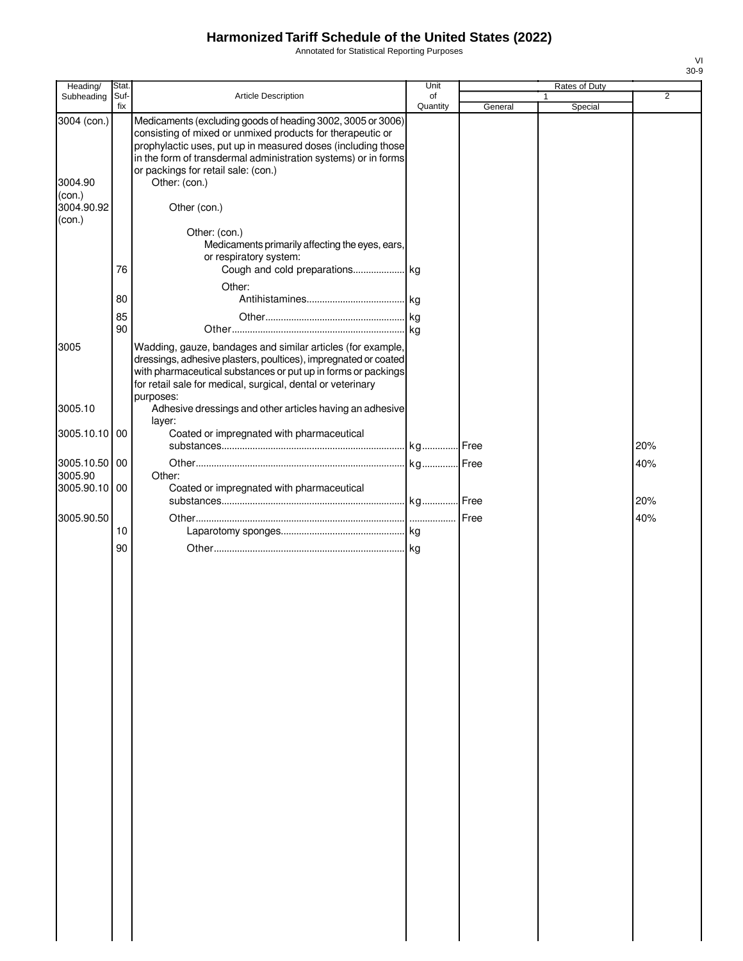Annotated for Statistical Reporting Purposes

| Heading/                         | Stat.       |                                                                                                                                                                                                                                                                                                                     | Unit           |         | Rates of Duty |                |
|----------------------------------|-------------|---------------------------------------------------------------------------------------------------------------------------------------------------------------------------------------------------------------------------------------------------------------------------------------------------------------------|----------------|---------|---------------|----------------|
| Subheading                       | Suf-<br>fix | Article Description                                                                                                                                                                                                                                                                                                 | of<br>Quantity | General |               | $\overline{2}$ |
| 3004 (con.)<br>3004.90<br>(con.) |             | Medicaments (excluding goods of heading 3002, 3005 or 3006)<br>consisting of mixed or unmixed products for therapeutic or<br>prophylactic uses, put up in measured doses (including those<br>in the form of transdermal administration systems) or in forms<br>or packings for retail sale: (con.)<br>Other: (con.) |                |         | Special       |                |
| 3004.90.92<br>(con.)             |             | Other (con.)                                                                                                                                                                                                                                                                                                        |                |         |               |                |
|                                  | 76          | Other: (con.)<br>Medicaments primarily affecting the eyes, ears,<br>or respiratory system:                                                                                                                                                                                                                          |                |         |               |                |
|                                  | 80          | Other:                                                                                                                                                                                                                                                                                                              |                |         |               |                |
|                                  | 85<br>90    |                                                                                                                                                                                                                                                                                                                     |                |         |               |                |
| 3005                             |             | Wadding, gauze, bandages and similar articles (for example,<br>dressings, adhesive plasters, poultices), impregnated or coated<br>with pharmaceutical substances or put up in forms or packings<br>for retail sale for medical, surgical, dental or veterinary                                                      |                |         |               |                |
| 3005.10                          |             | purposes:<br>Adhesive dressings and other articles having an adhesive<br>layer:                                                                                                                                                                                                                                     |                |         |               |                |
| 3005.10.10 00                    |             | Coated or impregnated with pharmaceutical                                                                                                                                                                                                                                                                           |                |         |               | 20%            |
| 3005.10.50<br>3005.90            | 00          | Other:                                                                                                                                                                                                                                                                                                              |                |         |               | 40%            |
| 3005.90.10                       | 00          | Coated or impregnated with pharmaceutical                                                                                                                                                                                                                                                                           |                |         |               | 20%            |
| 3005.90.50                       | 10          |                                                                                                                                                                                                                                                                                                                     |                |         |               | 40%            |
|                                  | 90          |                                                                                                                                                                                                                                                                                                                     |                |         |               |                |
|                                  |             |                                                                                                                                                                                                                                                                                                                     |                |         |               |                |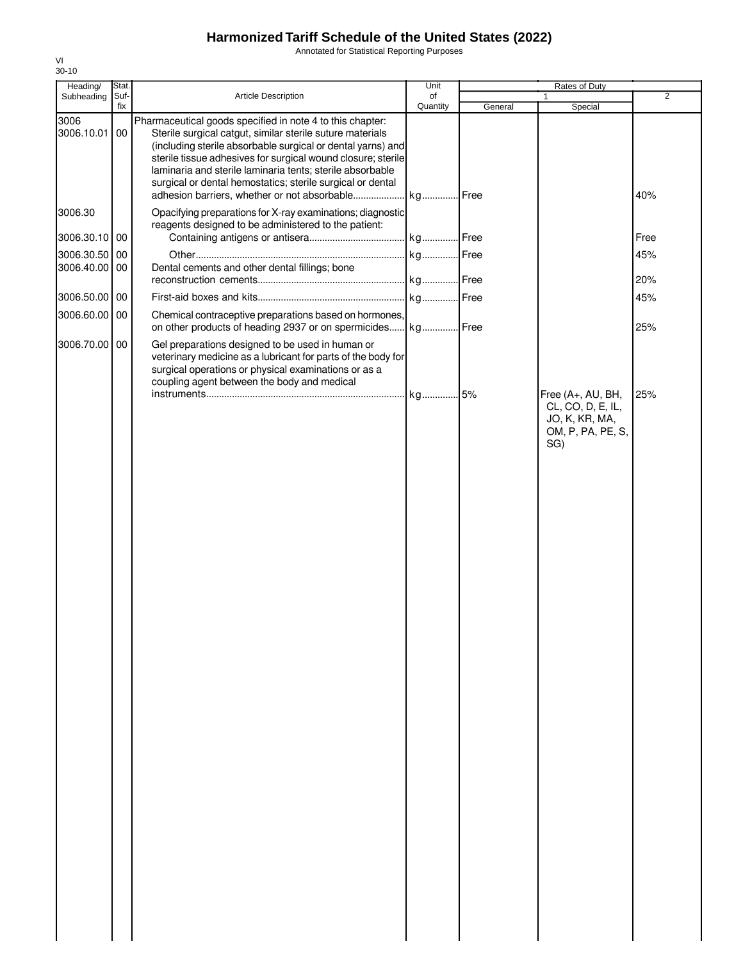Annotated for Statistical Reporting Purposes

| Heading/                    | Stat.       |                                                                                                                                                                                                                                                                                                                                                                                  | Unit           | Rates of Duty |                                                                                      |                |
|-----------------------------|-------------|----------------------------------------------------------------------------------------------------------------------------------------------------------------------------------------------------------------------------------------------------------------------------------------------------------------------------------------------------------------------------------|----------------|---------------|--------------------------------------------------------------------------------------|----------------|
| Subheading                  | Suf-<br>fix | Article Description                                                                                                                                                                                                                                                                                                                                                              | of<br>Quantity |               | 1<br>Special                                                                         | $\overline{2}$ |
| 3006<br>3006.10.01          | 00          | Pharmaceutical goods specified in note 4 to this chapter:<br>Sterile surgical catgut, similar sterile suture materials<br>(including sterile absorbable surgical or dental yarns) and<br>sterile tissue adhesives for surgical wound closure; sterile<br>laminaria and sterile laminaria tents; sterile absorbable<br>surgical or dental hemostatics; sterile surgical or dental |                | General       |                                                                                      | 40%            |
| 3006.30                     |             | Opacifying preparations for X-ray examinations; diagnostic<br>reagents designed to be administered to the patient:                                                                                                                                                                                                                                                               |                |               |                                                                                      |                |
| 3006.30.10 00               |             |                                                                                                                                                                                                                                                                                                                                                                                  |                |               |                                                                                      | Free           |
| 3006.30.50<br>3006.40.00 00 | 00          | Dental cements and other dental fillings; bone                                                                                                                                                                                                                                                                                                                                   |                |               |                                                                                      | 45%<br>20%     |
| 3006.50.00 00               |             |                                                                                                                                                                                                                                                                                                                                                                                  |                |               |                                                                                      | 45%            |
| 3006.60.00 00               |             | Chemical contraceptive preparations based on hormones,<br>on other products of heading 2937 or on spermicides kg Free                                                                                                                                                                                                                                                            |                |               |                                                                                      | 25%            |
| 3006.70.00                  | 00          | Gel preparations designed to be used in human or<br>veterinary medicine as a lubricant for parts of the body for<br>surgical operations or physical examinations or as a<br>coupling agent between the body and medical                                                                                                                                                          |                |               |                                                                                      |                |
|                             |             |                                                                                                                                                                                                                                                                                                                                                                                  | kg 5%          |               | Free (A+, AU, BH,<br>CL, CO, D, E, IL,<br>JO, K, KR, MA,<br>OM, P, PA, PE, S,<br>SG) | 25%            |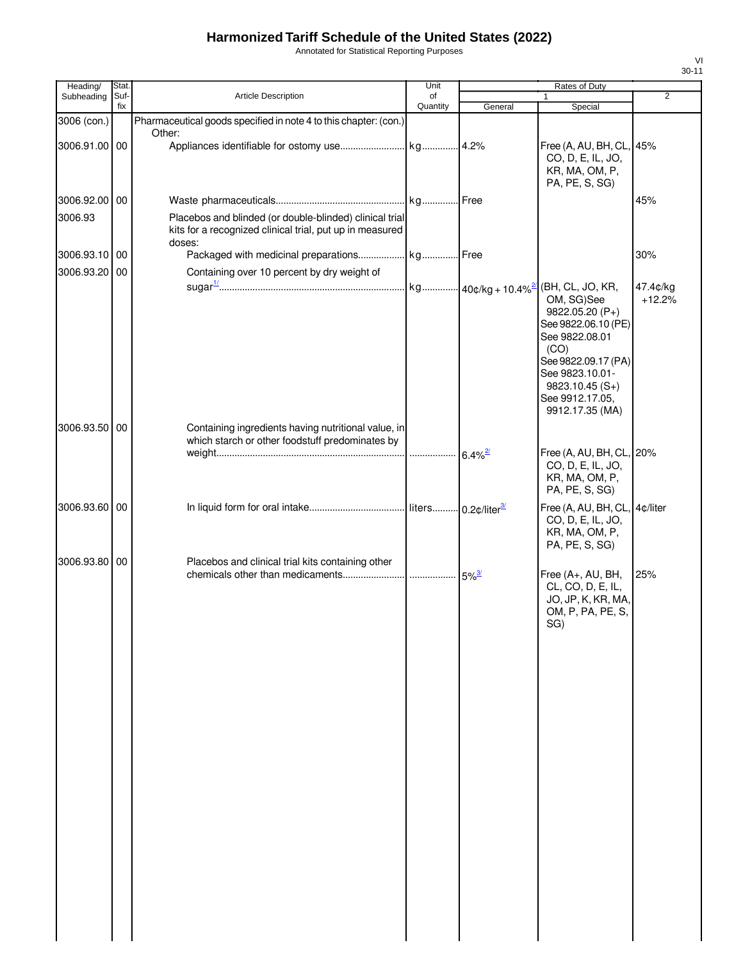Annotated for Statistical Reporting Purposes

| Heading/      | Stat.       |                                                                                                                               | Unit           |             | Rates of Duty                                                                                                                                                                      |                |
|---------------|-------------|-------------------------------------------------------------------------------------------------------------------------------|----------------|-------------|------------------------------------------------------------------------------------------------------------------------------------------------------------------------------------|----------------|
| Subheading    | Suf-<br>fix | Article Description                                                                                                           | of<br>Quantity | General     | $\mathbf{1}$<br>Special                                                                                                                                                            | $\overline{2}$ |
| 3006 (con.)   |             | Pharmaceutical goods specified in note 4 to this chapter: (con.)                                                              |                |             |                                                                                                                                                                                    |                |
|               |             | Other:                                                                                                                        |                |             |                                                                                                                                                                                    |                |
| 3006.91.00 00 |             |                                                                                                                               |                |             | Free (A, AU, BH, CL, 45%<br>CO, D, E, IL, JO,<br>KR, MA, OM, P,<br>PA, PE, S, SG)                                                                                                  |                |
| 3006.92.00 00 |             |                                                                                                                               |                | .Free       |                                                                                                                                                                                    | 45%            |
| 3006.93       |             | Placebos and blinded (or double-blinded) clinical trial<br>kits for a recognized clinical trial, put up in measured<br>doses: |                |             |                                                                                                                                                                                    |                |
| 3006.93.10 00 |             |                                                                                                                               |                |             |                                                                                                                                                                                    | 30%            |
| 3006.93.20 00 |             | Containing over 10 percent by dry weight of                                                                                   |                |             | (BH, CL, JO, KR,                                                                                                                                                                   | 47.4¢/kg       |
|               |             |                                                                                                                               |                |             | OM, SG)See<br>9822.05.20 (P+)<br>See 9822.06.10 (PE)<br>See 9822.08.01<br>(CO)<br>See 9822.09.17 (PA)<br>See 9823.10.01-<br>$9823.10.45(S+)$<br>See 9912.17.05,<br>9912.17.35 (MA) | $+12.2%$       |
| 3006.93.50 00 |             | Containing ingredients having nutritional value, in                                                                           |                |             |                                                                                                                                                                                    |                |
|               |             | which starch or other foodstuff predominates by                                                                               |                |             | Free (A, AU, BH, CL, 20%<br>CO, D, E, IL, JO,<br>KR, MA, OM, P,<br>PA, PE, S, SG)                                                                                                  |                |
| 3006.93.60 00 |             |                                                                                                                               |                |             | Free (A, AU, BH, CL, 4¢/liter<br>CO, D, E, IL, JO,<br>KR, MA, OM, P,<br>PA, PE, S, SG)                                                                                             |                |
| 3006.93.80 00 |             | Placebos and clinical trial kits containing other                                                                             |                | $5\%^{3/2}$ | Free (A+, AU, BH,<br>CL, CO, D, E, IL,<br>JO, JP, K, KR, MA,<br>OM, P, PA, PE, S,<br>SG)                                                                                           | 25%            |
|               |             |                                                                                                                               |                |             |                                                                                                                                                                                    |                |
|               |             |                                                                                                                               |                |             |                                                                                                                                                                                    |                |
|               |             |                                                                                                                               |                |             |                                                                                                                                                                                    |                |
|               |             |                                                                                                                               |                |             |                                                                                                                                                                                    |                |
|               |             |                                                                                                                               |                |             |                                                                                                                                                                                    |                |
|               |             |                                                                                                                               |                |             |                                                                                                                                                                                    |                |